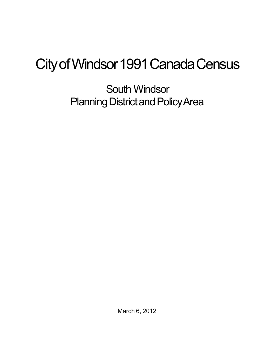## City of Windsor 1991 Canada Census

South Windsor Planning District and Policy Area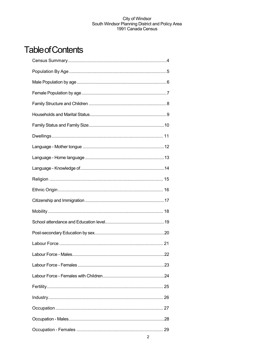## **Table of Contents**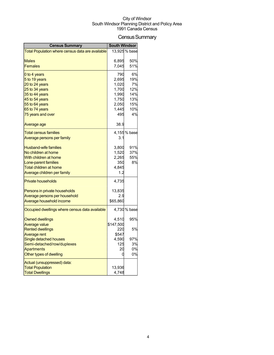## Census Summary

| <b>Census Summary</b>                                 | <b>South Windsor</b> |               |
|-------------------------------------------------------|----------------------|---------------|
| Total Population where census data are available      |                      | 13,925 % base |
|                                                       |                      |               |
| Males                                                 | 6.895                | 50%           |
| Females                                               | 7,045                | 51%           |
| 0 to 4 years                                          | 790                  | 6%            |
| 5 to 19 years                                         | 2,695                | 19%           |
| 20 to 24 years                                        | 1,020                | 7%            |
| 25 to 34 years                                        | 1,700                | 12%           |
| 35 to 44 years                                        | 1,990                | 14%           |
| 45 to 54 years                                        | 1,750                | 13%<br>15%    |
| 55 to 64 years<br>65 to 74 years                      | 2,050<br>1,445       | 10%           |
| 75 years and over                                     | 495                  | 4%            |
|                                                       |                      |               |
| Average age                                           | 38.9                 |               |
| <b>Total census families</b>                          |                      | 4,155 % base  |
| <u>Average persons per family</u>                     | 3.1                  |               |
|                                                       |                      |               |
| <b>Husband-wife families</b>                          | 3,800                | 91%           |
| No children at home                                   | 1,520                | 37%           |
| With children at home                                 | 2,265                | 55%           |
| Lone-parent families<br><b>Total children at home</b> | 350                  | 8%            |
| Average children per family                           | 4,845<br>1.2         |               |
|                                                       |                      |               |
| <b>Private households</b>                             | 4,735                |               |
| Persons in private households                         | 13,835               |               |
| Average persons per household                         | 2.9                  |               |
| Average household income                              | \$65,860             |               |
| Occupied dwellings where census data available        |                      | 4,730 % base  |
| <b>Owned dwellings</b>                                | 4,510                | 95%           |
| <b>Average value</b>                                  | \$147,500            |               |
| <b>Rented dwellings</b>                               | 220                  | 5%            |
| <b>Average rent</b>                                   | \$547                |               |
| Single detached houses                                | 4,590                | 97%           |
| Semi-detached/row/duplexes                            | 125                  | 3%            |
| <b>Apartments</b>                                     | 20                   | 0%            |
| Other types of dwelling                               | 0                    | 0%            |
| Actual (unsuppressed) data:                           |                      |               |
| <b>Total Population</b>                               | 13,936               |               |
| <b>Total Dwellings</b>                                | 4,748                |               |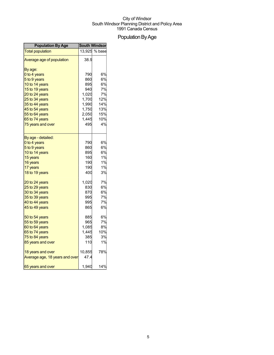## Population By Age

| <b>Population By Age</b>       | <b>South Windsor</b> |               |
|--------------------------------|----------------------|---------------|
| <b>Total population</b>        |                      | 13,925 % base |
| Average age of population      | 38.9                 |               |
| By age:                        |                      |               |
| 0 to 4 years                   | 790                  | 6%            |
| 5 to 9 years                   | 860                  | 6%            |
| 10 to 14 years                 | 895                  | 6%            |
| 15 to 19 years                 | 940                  | 7%            |
| 20 to 24 years                 | 1,020                | 7%            |
| 25 to 34 years                 | 1,700                | 12%           |
| 35 to 44 years                 | 1,990                | 14%           |
| 45 to 54 years                 | 1,750                | 13%           |
| 55 to 64 years                 | 2,050                | 15%           |
| 65 to 74 years                 | 1,445                | 10%           |
| 75 years and over              | 495                  | 4%            |
| By age - detailed:             |                      |               |
| 0 to 4 years                   | 790                  | 6%            |
| 5 to 9 years                   | 860                  | 6%            |
| 10 to 14 years                 | 895                  | 6%            |
| 15 years                       | 160                  | 1%            |
| 16 years                       | 190                  | 1%            |
| 17 years                       | 190                  | 1%            |
| 18 to 19 years                 | 400                  | 3%            |
| 20 to 24 years                 | 1,020                | 7%            |
| 25 to 29 years                 | 830                  | 6%            |
| 30 to 34 years                 | 870                  | 6%            |
| 35 to 39 years                 | 995                  | 7%            |
| 40 to 44 years                 | 995                  | 7%            |
| 45 to 49 years                 | 865                  | 6%            |
| 50 to 54 years                 | 885                  | 6%            |
| 55 to 59 years                 | 965                  | 7%            |
| 60 to 64 years                 | 1,085                | 8%            |
| 65 to 74 years                 | 1,445                | 10%           |
| 75 to 84 years                 | 385                  | 3%            |
| 85 years and over              | 110                  | 1%            |
| 18 years and over              | 10,855               | 78%           |
| Average age, 18 years and over | 47.4                 |               |
| 65 years and over              | 1,940                | 14%           |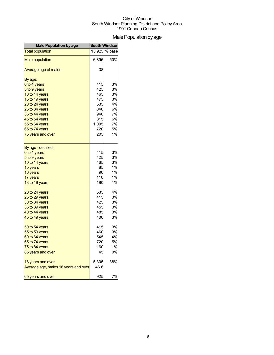## Male Population by age

| <b>Male Population by age</b>        | <b>South Windsor</b> |        |
|--------------------------------------|----------------------|--------|
| <b>Total population</b>              | 13,925               | % base |
| <b>Male population</b>               | 6,895                | 50%    |
| Average age of males                 | 38                   |        |
| By age:                              |                      |        |
| 0 to 4 years                         | 415                  | 3%     |
| 5 to 9 years                         | 425                  | 3%     |
| 10 to 14 years                       | 465                  | 3%     |
| 15 to 19 years                       | 475                  | 3%     |
| 20 to 24 years                       | 535                  | 4%     |
| 25 to 34 years                       | 840                  | 6%     |
| 35 to 44 years                       | 940                  | 7%     |
| 45 to 54 years                       | 815                  | 6%     |
| 55 to 64 years                       | 1,005                | 7%     |
| 65 to 74 years                       | 720                  | 5%     |
| 75 years and over                    | 205                  | 1%     |
| By age - detailed:                   |                      |        |
| 0 to 4 years                         | 415                  | 3%     |
| 5 to 9 years                         | 425                  | 3%     |
| 10 to 14 years                       | 465                  | 3%     |
| 15 years                             | 85                   | 1%     |
| 16 years                             | 90                   | 1%     |
| 17 years                             | 110                  | $1\%$  |
| 18 to 19 years                       | 190                  | 1%     |
| 20 to 24 years                       | 535                  | 4%     |
| 25 to 29 years                       | 415                  | 3%     |
| 30 to 34 years                       | 425                  | 3%     |
| 35 to 39 years                       | 455                  | 3%     |
| 40 to 44 years                       | 485                  | 3%     |
| 45 to 49 years                       | 400                  | 3%     |
| 50 to 54 years                       | 415                  | 3%     |
| 55 to 59 years                       | 460                  | 3%     |
| 60 to 64 years                       | 545                  | 4%     |
| 65 to 74 years                       | 720                  | $5%$   |
| 75 to 84 years                       | 160                  | 1%     |
| 85 years and over                    | 45                   | 0%     |
| 18 years and over                    | 5,305                | 38%    |
| Average age, males 18 years and over | 46.6                 |        |
| 65 years and over                    | 925                  | 7%     |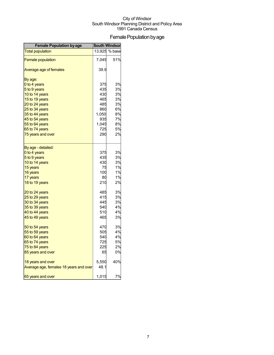## Female Population by age

| <b>Female Population by age</b>        | <b>South Windsor</b> |               |
|----------------------------------------|----------------------|---------------|
| <b>Total population</b>                |                      | 13,925 % base |
| <b>Female population</b>               | 7,045                | 51%           |
| Average age of females                 | 39.9                 |               |
| By age:                                |                      |               |
| 0 to 4 years                           | 375                  | 3%            |
| 5 to 9 years                           | 435                  | 3%            |
| 10 to 14 years                         | 430                  | 3%            |
| 15 to 19 years                         | 465                  | 3%            |
| 20 to 24 years                         | 485                  | 3%            |
| 25 to 34 years                         | 860                  | 6%            |
| 35 to 44 years                         | 1,050                | 8%            |
| 45 to 54 years                         | 935                  | 7%            |
| 55 to 64 years                         | 1,045                | 8%            |
| 65 to 74 years                         | 725                  | 5%            |
| 75 years and over                      | 290                  | 2%            |
| By age - detailed:                     |                      |               |
| 0 to 4 years                           | 375                  | 3%            |
| 5 to 9 years                           | 435                  | 3%            |
| 10 to 14 years                         | 430                  | 3%            |
| 15 years                               | 75                   | 1%            |
| 16 years                               | 100                  | 1%            |
| 17 years                               | 80                   | 1%            |
| 18 to 19 years                         | 210                  | 2%            |
| 20 to 24 years                         | 485                  | 3%            |
| 25 to 29 years                         | 415                  | 3%            |
| 30 to 34 years                         | 445                  | 3%            |
| 35 to 39 years                         | 540                  | 4%            |
| 40 to 44 years                         | 510                  | 4%            |
| 45 to 49 years                         | 465                  | 3%            |
| 50 to 54 years                         | 470                  | 3%            |
| 55 to 59 years                         | 505                  | 4%            |
| 60 to 64 years                         | 540                  | 4%            |
| 65 to 74 years                         | 725                  | 5%            |
| 75 to 84 years                         | 225                  | 2%            |
| 85 years and over                      | 65                   | 0%            |
| 18 years and over                      | 5,550                | 40%           |
| Average age, females 18 years and over | 48.1                 |               |
| 65 years and over                      | 1,015                | 7%            |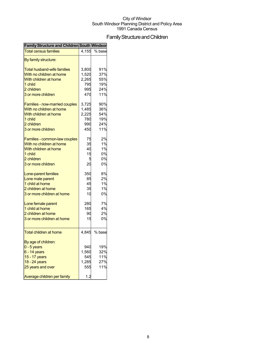## FamilyStructureandChildren

| Family Structure and Children South Windson |       |        |
|---------------------------------------------|-------|--------|
| <b>Total census families</b>                | 4,155 | % base |
| By family structure:                        |       |        |
| <b>Total husband-wife families</b>          | 3,800 | 91%    |
| With no children at home                    | 1,520 | 37%    |
| With children at home                       | 2,265 | 55%    |
| 1 child                                     | 795   | 19%    |
| 2 children                                  | 995   | 24%    |
| 3 or more children                          | 470   | 11%    |
| Families - now-married couples              | 3,725 | 90%    |
| With no children at home                    | 1,485 | 36%    |
| With children at home                       | 2,225 | 54%    |
| 1 child                                     | 780   | 19%    |
| 2 children                                  | 990   | 24%    |
| 3 or more children                          | 450   | 11%    |
| Families - common-law couples               | 75    | 2%     |
| With no children at home                    | 35    | 1%     |
| With children at home                       | 40    | 1%     |
| 1 child                                     | 15    | 0%     |
| 2 children                                  | 5     | 0%     |
| 3 or more children                          | 20    | 0%     |
| Lone-parent families                        | 350   | 8%     |
| Lone male parent                            | 85    | 2%     |
| 1 child at home                             | 45    | 1%     |
| 2 children at home                          | 35    | 1%     |
| 3 or more children at home                  | 10    | 0%     |
| Lone female parent                          | 280   | 7%     |
| 1 child at home                             | 165   | 4%     |
| 2 children at home                          | 90    | 2%     |
| 3 or more children at home                  | 15    | 0%     |
| <b>Total children at home</b>               | 4,845 | % base |
| By age of children:                         |       |        |
| $0 - 5$ years                               | 940   | 19%    |
| $6 - 14$ years                              | 1,560 | 32%    |
| 15 - 17 years                               | 545   | 11%    |
| 18 - 24 years                               | 1,285 | 27%    |
| 25 years and over                           | 555   | 11%    |
| Average children per family                 | 1.2   |        |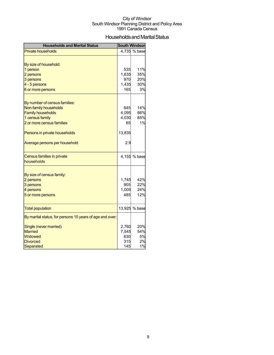## Households and Marital Status

| <b>Households and Marital Status</b>                     |              | <b>South Windsor</b> |
|----------------------------------------------------------|--------------|----------------------|
| <b>Private households</b>                                |              | 4,735 % base         |
|                                                          |              |                      |
| By size of household:                                    |              |                      |
| 1 person                                                 | 535          | 11%                  |
| 2 persons                                                | 1,635        | 35%                  |
| 3 persons                                                | 970          | 20%                  |
| 4 - 5 persons                                            | 1,435        | 30%                  |
| 6 or more persons                                        | 165          | 3%                   |
|                                                          |              |                      |
| By number of census families:                            |              |                      |
| Non-family households                                    | 645          | 14%                  |
| <b>Family households</b>                                 | 4,095        | 86%                  |
| 1 census family                                          | 4,030        | 85%                  |
| 2 or more census families                                | 65           | 1%                   |
| Persons in private households                            | 13,835       |                      |
| Average persons per household                            | 2.9          |                      |
| Census families in private                               |              | 4,155 % base         |
| households                                               |              |                      |
|                                                          |              |                      |
| By size of census family:                                |              |                      |
| 2 persons                                                | 1,745        | 42%                  |
| 3 persons                                                | 905          | 22%<br>24%           |
| 4 persons                                                | 1,005<br>485 | 12%                  |
| 5 or more persons                                        |              |                      |
| <b>Total population</b>                                  |              | 13,925 % base        |
| By marital status, for persons 15 years of age and over: |              |                      |
| Single (never married)                                   | 2,760        | 20%                  |
| <b>Married</b>                                           | 7,545        | 54%                  |
| Widowed                                                  | 630          | 5%                   |
| <b>Divorced</b>                                          | 315          | 2%                   |
| <b>Separated</b>                                         | 145          | 1%                   |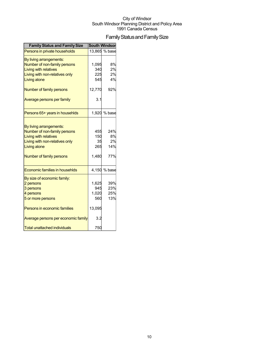## Family Status and Family Size

| <b>Family Status and Family Size</b>                                                                                                                                  | <b>South Windsor</b>             |                               |
|-----------------------------------------------------------------------------------------------------------------------------------------------------------------------|----------------------------------|-------------------------------|
| Persons in private households                                                                                                                                         |                                  | 13.865 % base                 |
| By living arrangements:<br>Number of non-family persons<br><b>Living with relatives</b><br>Living with non-relatives only<br>Living alone                             | 1,095<br>340<br>225<br>545       | 8%<br>2%<br>2%<br>4%          |
| Number of family persons                                                                                                                                              | 12,770                           | 92%                           |
| Average persons per family                                                                                                                                            | 3.1                              |                               |
| Persons 65+ years in househlds                                                                                                                                        | 1,920                            | % base                        |
| By living arrangements:<br>Number of non-family persons<br><b>Living with relatives</b><br>Living with non-relatives only<br>Living alone<br>Number of family persons | 455<br>150<br>35<br>265<br>1,480 | 24%<br>8%<br>2%<br>14%<br>77% |
| Economic families in househlds                                                                                                                                        | 4,150                            | % base                        |
| By size of economic family:<br>2 persons<br>3 persons<br>4 persons<br>5 or more persons                                                                               | 1,625<br>945<br>1,020<br>560     | 39%<br>23%<br>25%<br>13%      |
| Persons in economic families                                                                                                                                          | 13,095                           |                               |
| Average persons per economic family                                                                                                                                   | 3.2                              |                               |
| <b>Total unattached individuals</b>                                                                                                                                   | 750                              |                               |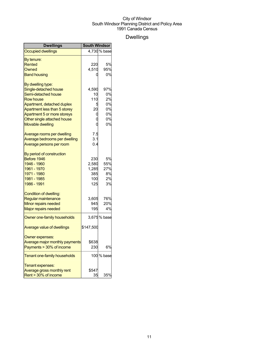## Dwellings

| <b>Dwellings</b>               | <b>South Windsor</b> |              |
|--------------------------------|----------------------|--------------|
| <b>Occupied dwellings</b>      |                      | 4,730 % base |
| By tenure:                     |                      |              |
| Rented                         | 220                  | 5%           |
| Owned                          | 4,510                | 95%          |
| <b>Band housing</b>            |                      | 0%           |
| By dwelling type:              |                      |              |
| Single-detached house          | 4,590                | 97%          |
| Semi-detached house            | 10                   | 0%           |
| <b>Row house</b>               | 110                  | 2%           |
| Apartment, detached duplex     |                      | 0%           |
| Apartment less than 5 storey   | 20                   | 0%           |
| Apartment 5 or more storeys    | O                    | 0%           |
| Other single attached house    | O                    | 0%           |
| <b>Movable dwelling</b>        | O                    | 0%           |
| Average rooms per dwelling     | 7.5                  |              |
| Average bedrooms per dwelling  | 3.1                  |              |
| Average persons per room       | 0.4                  |              |
| By period of construction      |                      |              |
| Before 1946                    | 230                  | 5%           |
| 1946 - 1960                    | 2,580                | 55%          |
| 1961 - 1970                    | 1,285                | 27%          |
| 1971 - 1980                    | 385                  | 8%           |
| 1981 - 1985                    | 100                  | 2%           |
| 1986 - 1991                    | 125                  | 3%           |
| Condition of dwelling:         |                      |              |
| Regular maintenance            | 3,605                | 76%          |
| Minor repairs needed           | 945                  | 20%          |
| <b>Major repairs needed</b>    | 195                  | 4%           |
| Owner one-family households    |                      | 3,675% base  |
| Average value of dwellings     | \$147,500            |              |
| Owner expenses:                |                      |              |
| Average major monthly payments | \$638                |              |
| Payments > 30% of income       | 230                  | 6%           |
| Tenant one-family households   |                      | 100 % base   |
| Tenant expenses:               |                      |              |
| Average gross monthly rent     | \$547                |              |
| Rent > 30% of income           | 35                   | 35%          |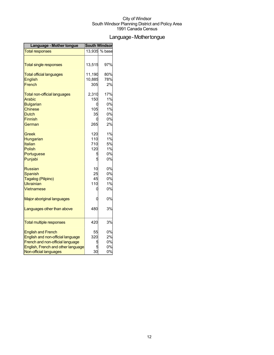## Language-Mothertongue

| Language - Mother tongue            | <b>South Windsor</b> |               |
|-------------------------------------|----------------------|---------------|
| <b>Total responses</b>              |                      | 13,935 % base |
|                                     |                      |               |
| <b>Total single responses</b>       | 13,515               | 97%           |
| <b>Total official languages</b>     | 11,190               | 80%           |
| <b>English</b>                      | 10,885               | 78%           |
| French                              | 305                  | 2%            |
| <b>Total non-official languages</b> | 2,310                | 17%           |
| Arabic                              | 150                  | 1%            |
| <b>Bulgarian</b>                    |                      | 0%            |
| <b>Chinese</b>                      | 105                  | 1%            |
| <b>Dutch</b>                        | 35                   | 0%            |
| <b>Finnish</b>                      |                      | 0%            |
| German                              | 265                  | 2%            |
| Greek                               | 120                  | 1%            |
| Hungarian                           | 110                  | 1%            |
| Italian                             | 710                  | 5%            |
| <b>Polish</b>                       | 120                  | 1%            |
| Portuguese                          | 5                    | 0%            |
| Punjabi                             | 5                    | 0%            |
| <b>Russian</b>                      | 10                   | 0%            |
| <b>Spanish</b>                      | 25                   | 0%            |
| Tagalog (Pilipino)                  | 45                   | 0%            |
| Ukrainian                           | 110                  | 1%            |
| Vietnamese                          |                      | 0%            |
| Major aboriginal languages          |                      | 0%            |
| Languages other than above          | 480                  | 3%            |
|                                     |                      |               |
| <b>Total multiple responses</b>     | 420                  | 3%            |
| <b>English and French</b>           | 55                   | 0%            |
| English and non-official language   | 320                  | 2%            |
| French and non-official language    |                      | 0%            |
| English, French and other language  |                      | 0%            |
| Non-official languages              | 30                   | 0%            |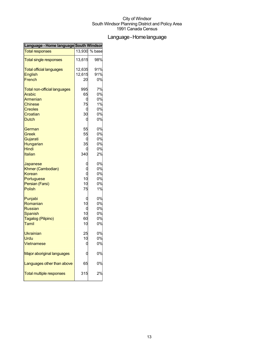## Language-Homelanguage

| Language - Home language South Windson |        |        |
|----------------------------------------|--------|--------|
| <b>Total responses</b>                 | 13,930 | % base |
| <b>Total single responses</b>          | 13,615 | 98%    |
| <b>Total official languages</b>        | 12,635 | 91%    |
| <b>English</b>                         | 12,615 | 91%    |
| French                                 | 20     | 0%     |
| <b>Total non-official languages</b>    | 995    | 7%     |
| <b>Arabic</b>                          | 65     | 0%     |
| Armenian                               | 0      | 0%     |
| <b>Chinese</b>                         | 75     | 1%     |
| <b>Creoles</b>                         | C      | 0%     |
| Croatian                               | 30     | 0%     |
| <b>Dutch</b>                           | 0      | 0%     |
| German                                 | 55     | 0%     |
| Greek                                  | 55     | 0%     |
| Gujarati                               | C      | 0%     |
| Hungarian                              | 35     | 0%     |
| Hindi                                  |        | 0%     |
| Italian                                | 340    | 2%     |
| Japanese                               | C      | 0%     |
| Khmer (Cambodian)                      |        | 0%     |
| Korean                                 | Ó      | 0%     |
| Portuguese                             | 10     | 0%     |
| Persian (Farsi)                        | 10     | 0%     |
| <b>Polish</b>                          | 75     | 1%     |
| Punjabi                                | C      | 0%     |
| Romanian                               | 10     | 0%     |
| <b>Russian</b>                         | 0      | 0%     |
| <b>Spanish</b>                         | 10     | 0%     |
| Tagalog (Pilipino)                     | 60     | 0%     |
| Tamil                                  | 10     | 0%     |
| <b>Ukrainian</b>                       | 25     | 0%     |
| Urdu                                   | 10     | 0%     |
| Vietnamese                             | d      | 0%     |
| <b>Major aboriginal languages</b>      |        | 0%     |
| Languages other than above             | 65     | 0%     |
| <b>Total multiple responses</b>        | 315    | 2%     |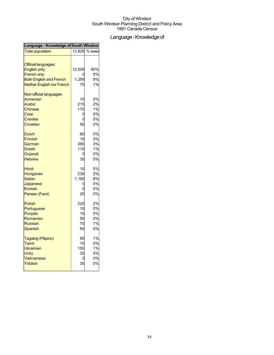## Language - Knowledge of

| Language - Knowledge of South Windsor                                                                                                          |                                   |                                  |
|------------------------------------------------------------------------------------------------------------------------------------------------|-----------------------------------|----------------------------------|
| <b>Total population</b>                                                                                                                        |                                   | 13.925 % base                    |
| <b>Official languages:</b><br><b>English only</b><br><b>French only</b><br><b>Both English and French</b><br><b>Neither English nor French</b> | 12,555<br>1,295<br>75             | 90%<br>0%<br>9%<br>1%            |
| Non-official languages:<br>Armenian<br>Arabic<br><b>Chinese</b><br>Cree<br><b>Creoles</b><br>Croatian                                          | 10<br>215<br>170<br>C<br>C<br>50  | 0%<br>2%<br>1%<br>0%<br>0%<br>0% |
| <b>Dutch</b><br><b>Finnish</b><br>German<br>Greek<br>Gujarati<br><b>Hebrew</b>                                                                 | 60<br>10<br>385<br>110<br>35      | 0%<br>0%<br>3%<br>1%<br>0%<br>0% |
| Hindi<br>Hungarian<br>Italian<br>Japanese<br>Korean<br>Persian (Farsi)                                                                         | 10<br>230<br>1,180<br>20          | 0%<br>2%<br>8%<br>0%<br>0%<br>0% |
| <b>Polish</b><br>Portuguese<br>Punjabi<br>Romanian<br><b>Russian</b><br>Spanish                                                                | 225<br>10<br>15<br>50<br>70<br>65 | 2%<br>0%<br>0%<br>0%<br>1%<br>0% |
| Tagalog (Pilipino)<br>Tamil<br>Ukrainian<br>Urdu<br><b>Vietnamese</b><br>Yiddish                                                               | 95<br>10<br>150<br>35<br>35       | 1%<br>0%<br>1%<br>0%<br>0%<br>0% |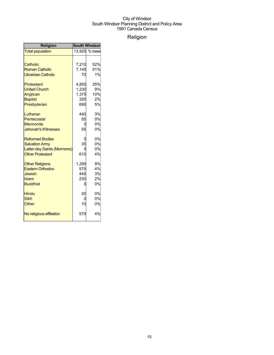## Religion

| <b>Religion</b>             | <b>South Windsor</b> |               |  |
|-----------------------------|----------------------|---------------|--|
| <b>Total population</b>     |                      | 13,925 % base |  |
|                             |                      |               |  |
| Catholic                    | 7,210                | 52%           |  |
| <b>Roman Catholic</b>       | 7,145                | 51%           |  |
| <b>Ukrainian Catholic</b>   | 70                   | 1%            |  |
| Protestant                  | 4.850                | 35%           |  |
| <b>United Church</b>        | 1,230                | 9%            |  |
| Anglican                    | 1,375                | 10%           |  |
| <b>Baptist</b>              | 320                  | 2%            |  |
| Presbyterian                | 690                  | 5%            |  |
| Lutheran                    | 440                  | 3%            |  |
| Pentecostal                 | 55                   | 0%            |  |
| <b>Mennonite</b>            | 0                    | 0%            |  |
| <b>Jehovah's Witnesses</b>  | 55                   | 0%            |  |
| <b>Reformed Bodies</b>      |                      | 0%            |  |
| <b>Salvation Army</b>       | 35                   | 0%            |  |
| Latter-day Saints (Mormons) |                      | 0%            |  |
| <b>Other Protestant</b>     | 610                  | 4%            |  |
| <b>Other Religions</b>      | 1,295                | 9%            |  |
| <b>Eastern Orthodox</b>     | 575                  | 4%            |  |
| <b>Jewish</b>               | 440                  | 3%            |  |
| Islam                       | 230                  | 2%            |  |
| <b>Buddhist</b>             | U                    | 0%            |  |
| Hindu                       | 20                   | 0%            |  |
| <b>Sikh</b>                 |                      | 0%            |  |
| Other                       | 10                   | 0%            |  |
| No religious affiliation    | 575                  | 4%            |  |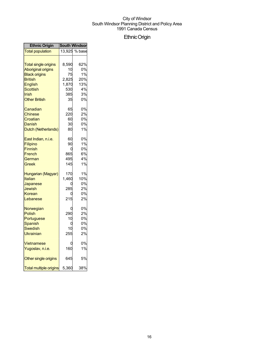## EthnicOrigin

| <b>Ethnic Origin</b>                                                      | <b>South Windsor</b>       |                                   |
|---------------------------------------------------------------------------|----------------------------|-----------------------------------|
| <b>Total population</b>                                                   |                            | 13,925 % base                     |
| <b>Total single origins</b>                                               | 8,590                      | 62%                               |
| <b>Aboriginal origins</b>                                                 | 10                         | 0%                                |
| <b>Black origins</b>                                                      | 75                         | 1%                                |
| <b>British</b>                                                            | 2,825                      | 20%                               |
| English                                                                   | 1,870                      | 13%                               |
| <b>Scottish</b>                                                           | 530                        | 4%                                |
| Irish                                                                     | 385l                       | 3%                                |
| <b>Other British</b>                                                      | 35                         | 0%                                |
| Canadian                                                                  | 65                         | 0%                                |
| Chinese                                                                   | 220                        | 2%                                |
| Croatian                                                                  | 60                         | 0%                                |
| Danish                                                                    | 30                         | 0%                                |
| Dutch (Netherlands)                                                       | 80                         | 1%                                |
| East Indian, n.i.e.                                                       | 60                         | 0%                                |
| Filipino                                                                  | 90                         | 1%                                |
| <b>Finnish</b>                                                            | 0                          | 0%                                |
| French                                                                    | 865                        | 6%                                |
| German                                                                    | 495                        | 4%                                |
| Greek                                                                     | 145                        | 1%                                |
| Hungarian (Magyar)<br>Italian<br>Japanese<br>Jewish<br>Korean<br>Lebanese | 170<br>1,460<br>285<br>215 | 1%<br>10%<br>0%<br>2%<br>0%<br>2% |
| Norwegian                                                                 | C                          | 0%                                |
| <b>Polish</b>                                                             | 290                        | 2%                                |
| Portuguese                                                                | 10                         | 0%                                |
| <b>Spanish</b>                                                            | 0                          | 0%                                |
| Swedish                                                                   | 10                         | 0%                                |
| Ukrainian                                                                 | 255                        | 2%                                |
| Vietnamese                                                                | ſ                          | 0%                                |
| Yugoslav, n.i.e.                                                          | 160                        | 1%                                |
| Other single origins                                                      | 645                        | 5%                                |
| <b>Total multiple origins</b>                                             | 5,360                      | 38%                               |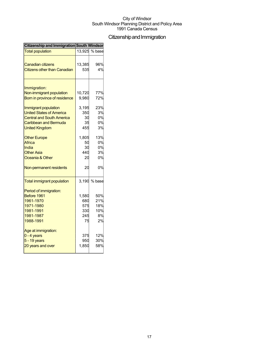## Citizenship and Immigration

| Citizenship and Immigration South Windsor |        |               |
|-------------------------------------------|--------|---------------|
| <b>Total population</b>                   |        | 13.925 % base |
| Canadian citizens                         | 13,385 | 96%           |
| Citizens other than Canadian              | 535    | 4%            |
|                                           |        |               |
| Immigration:                              |        |               |
| Non-immigrant population                  | 10,720 | 77%           |
| Born in province of residence             | 9,980  | 72%           |
|                                           |        |               |
| Immigrant population                      | 3,195  | 23%           |
| <b>United States of America</b>           | 350    | 3%            |
| <b>Central and South America</b>          | 30     | 0%            |
| <b>Caribbean and Bermuda</b>              | 35     | 0%            |
| <b>United Kingdom</b>                     | 455    | 3%            |
| <b>Other Europe</b>                       | 1,805  | 13%           |
| Africa                                    | 50     | 0%            |
| India                                     | 30     | 0%            |
| <b>Other Asia</b>                         | 440    | 3%            |
| Oceania & Other                           | 20     | 0%            |
| Non-permanent residents                   | 20     | 0%            |
| <b>Total immigrant population</b>         |        | 3,190 % base  |
| Period of immigration:                    |        |               |
| Before 1961                               | 1,580  | 50%           |
| 1961-1970                                 | 680    | 21%           |
| 1971-1980                                 | 575    | 18%           |
| 1981-1991                                 | 330    | 10%           |
| 1981-1987                                 | 245    | 8%            |
| 1988-1991                                 | 75     | 2%            |
| Age at immigration:                       |        |               |
| $0 - 4$ years                             | 375    | 12%           |
| 5 - 19 years                              | 950    | 30%           |
| 20 years and over                         | 1,850  | 58%           |
|                                           |        |               |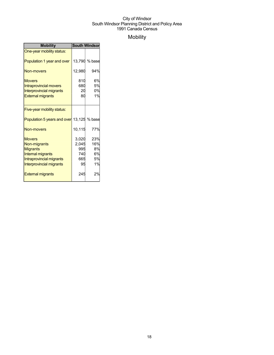## Mobility

| <b>Mobility</b>                                                                                                               | <b>South Windsor</b>                      |                                    |  |
|-------------------------------------------------------------------------------------------------------------------------------|-------------------------------------------|------------------------------------|--|
| One-year mobility status:                                                                                                     |                                           |                                    |  |
| Population 1 year and over                                                                                                    | 13,790                                    | % base                             |  |
| <b>Non-movers</b>                                                                                                             | 12,980                                    | 94%                                |  |
| <b>Movers</b><br><b>Intraprovincial movers</b><br><b>Interprovincial migrants</b><br><b>External migrants</b>                 | 810<br>680<br>20<br>80                    | 6%<br>5%<br>0%<br>1%               |  |
| Five-year mobility status:                                                                                                    |                                           |                                    |  |
| Population 5 years and over 13,125 % base                                                                                     |                                           |                                    |  |
| <b>Non-movers</b>                                                                                                             | 10,115                                    | 77%                                |  |
| <b>Movers</b><br>Non-migrants<br><b>Migrants</b><br>Internal migrants<br>Intraprovincial migrants<br>Interprovincial migrants | 3,020<br>2,045<br>995<br>740<br>665<br>95 | 23%<br>16%<br>8%<br>6%<br>5%<br>1% |  |
| <b>External migrants</b>                                                                                                      | 245                                       | 2%                                 |  |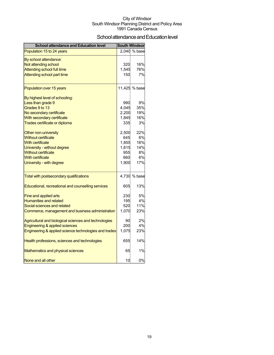## School attendance and Education level

| <b>School attendance and Education level</b>          |       | <b>South Windsor</b> |
|-------------------------------------------------------|-------|----------------------|
| Population 15 to 24 years                             |       | 2,040 % base         |
| By school attendance:                                 |       |                      |
| Not attending school                                  | 320   | 16%                  |
| Attending school full time                            | 1,545 | 76%                  |
| Attending school part time                            | 150   | 7%                   |
| Population over 15 years                              |       | 11,425 % base        |
| By highest level of schooling:                        |       |                      |
| Less than grade 9                                     | 990   | 9%                   |
| Grades 9 to 13                                        | 4,045 | 35%                  |
| No secondary certificate                              | 2,200 | 19%                  |
| With secondary certificate                            | 1,845 | 16%                  |
| <b>Trades certificate or diploma</b>                  | 335   | 3%                   |
| Other non-university                                  | 2,500 | 22%                  |
| <b>Without certificate</b>                            | 645   | 6%                   |
| <b>With certificate</b>                               | 1,855 | 16%                  |
| University - without degree                           | 1,615 | 14%                  |
| <b>Without certificate</b>                            | 955   | 8%                   |
| <b>With certificate</b>                               | 660   | 6%                   |
| University - with degree                              | 1,900 | 17%                  |
| Total with postsecondary qualifications               |       | 4,730 % base         |
| Educational, recreational and counselling services    | 605   | 13%                  |
| Fine and applied arts                                 | 230   | 5%                   |
| <b>Humanities and related</b>                         | 195   | 4%                   |
| Social sciences and related                           | 520   | 11%                  |
| Commerce, management and business administration      | 1,070 | 23%                  |
| Agricultural and biological sciences and technologies | 90    | 2%                   |
| Engineering & applied sciences                        | 200   | 4%                   |
| Engineering & applied science technologies and trades | 1,075 | 23%                  |
| Health professions, sciences and technologies         | 655   | 14%                  |
| Mathematics and physical sciences                     | 65    | 1%                   |
| None and all other                                    | 10    | 0%                   |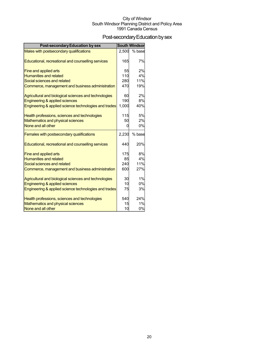## Post-secondary Education by sex

| <b>Post-secondary Education by sex</b>                 |            | <b>South Windsor</b> |
|--------------------------------------------------------|------------|----------------------|
| Males with postsecondary qualifications                | 2,500      | % base               |
|                                                        |            |                      |
| Educational, recreational and counselling services     | 165        | 7%                   |
|                                                        |            |                      |
| Fine and applied arts<br><b>Humanities and related</b> | 55<br>110  | 2%<br>4%             |
| Social sciences and related                            | 280        | 11%                  |
| Commerce, management and business administration       | 470        | 19%                  |
|                                                        |            |                      |
| Agricultural and biological sciences and technologies  | 60         | 2%                   |
| Engineering & applied sciences                         | 190        | 8%                   |
| Engineering & applied science technologies and trades  | 1,000      | 40%                  |
|                                                        |            |                      |
| Health professions, sciences and technologies          | 115        | 5%                   |
| Mathematics and physical sciences                      | 50         | 2%                   |
| None and all other                                     | 0          | 0%                   |
| Females with postsecondary qualifications              | 2,230      | % base               |
|                                                        |            |                      |
| Educational, recreational and counselling services     | 440        | 20%                  |
|                                                        |            |                      |
| Fine and applied arts                                  | 175        | 8%                   |
| <b>Humanities and related</b>                          | 85         | 4%<br>11%            |
| Social sciences and related                            | 240<br>600 |                      |
| Commerce, management and business administration       |            | 27%                  |
| Agricultural and biological sciences and technologies  | 30         | 1%                   |
| Engineering & applied sciences                         | 10         | 0%                   |
| Engineering & applied science technologies and trades  | 75         | 3%                   |
|                                                        |            |                      |
| Health professions, sciences and technologies          | 540        | 24%                  |
| Mathematics and physical sciences                      | 15         | 1%                   |
| None and all other                                     | 10         | 0%                   |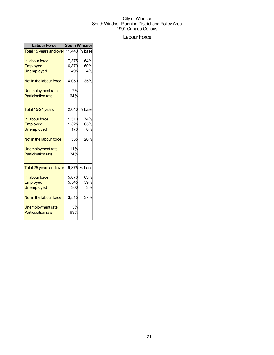## Labour Force

| <b>Labour Force</b>                   | <b>South Windsor</b> |        |  |
|---------------------------------------|----------------------|--------|--|
| Total 15 years and over 11,440 % base |                      |        |  |
| In labour force                       | 7,375                | 64%    |  |
| <b>Employed</b>                       | 6,870                | 60%    |  |
| <b>Unemployed</b>                     | 495                  | 4%     |  |
| Not in the labour force               | 4,050                | 35%    |  |
| Unemployment rate                     | 7%                   |        |  |
| <b>Participation rate</b>             | 64%                  |        |  |
| Total 15-24 years                     | 2,040                | % base |  |
| In labour force                       | 1,510                | 74%    |  |
| Employed                              | 1,325                | 65%    |  |
| Unemployed                            | 170                  | 8%     |  |
| Not in the labour force               | 535                  | 26%    |  |
| Unemployment rate                     | 11%                  |        |  |
| <b>Participation rate</b>             | 74%                  |        |  |
| Total 25 years and over               | 9.375                | % base |  |
| In labour force                       | 5,870                | 63%    |  |
| Employed                              | 5,545                | 59%    |  |
| <b>Unemployed</b>                     | 300                  | 3%     |  |
| Not in the labour force               | 3,515                | 37%    |  |
| <b>Unemployment rate</b>              | 5%                   |        |  |
| <b>Participation rate</b>             | 63%                  |        |  |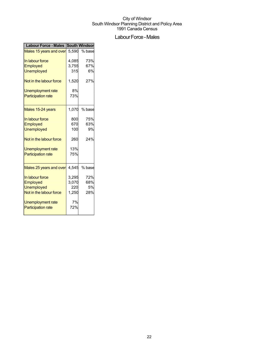## Labour Force - Males

| <b>Labour Force - Males</b> | <b>South Windson</b> |        |  |
|-----------------------------|----------------------|--------|--|
| Males 15 years and over     | 5.590                | % base |  |
| In labour force             | 4,085                | 73%    |  |
| Employed                    | 3,755                | 67%    |  |
| <b>Unemployed</b>           | 315                  | 6%     |  |
| Not in the labour force     | 1,520                | 27%    |  |
| Unemployment rate           | 8%                   |        |  |
| <b>Participation rate</b>   | 73%                  |        |  |
| Males 15-24 years           | 1,070                | % base |  |
| In labour force             | 800                  | 75%    |  |
| Employed                    | 670                  | 63%    |  |
| Unemployed                  | 100                  | 9%     |  |
| Not in the labour force     | 260                  | 24%    |  |
| Unemployment rate           | 13%                  |        |  |
| <b>Participation rate</b>   | 75%                  |        |  |
| Males 25 years and over     | 4.545                | % base |  |
| In labour force             | 3,295                | 72%    |  |
| Employed                    | 3,070                | 68%    |  |
| <b>Unemployed</b>           | 220                  | 5%     |  |
| Not in the labour force     | 1,250                | 28%    |  |
| Unemployment rate           | 7%                   |        |  |
| <b>Participation rate</b>   | 72%                  |        |  |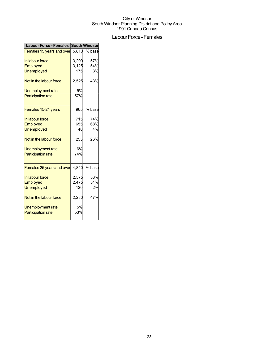## Labour Force - Females

|                                    | <b>South Windsor</b> |
|------------------------------------|----------------------|
| Females 15 years and over<br>5.810 | % base               |
| 3,290                              | 57%                  |
| 3,125                              | 54%                  |
| 175                                | 3%                   |
| 2,525                              | 43%                  |
| 5%                                 |                      |
| 57%                                |                      |
| 965                                | % base               |
| 715                                | 74%                  |
|                                    | 68%                  |
| 40                                 | 4%                   |
| 255                                | 26%                  |
| 6%                                 |                      |
| 74%                                |                      |
| Females 25 years and over<br>4.840 | % base               |
| 2,575                              | 53%                  |
|                                    | 51%                  |
| 120                                | 2%                   |
| 2,280                              | 47%                  |
| 5%                                 |                      |
| 53%                                |                      |
|                                    | 655<br>2,475         |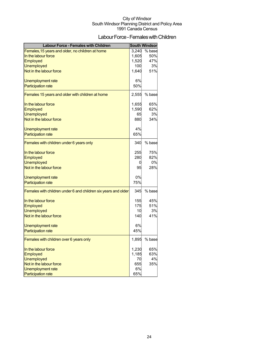## Labour Force - Females with Children

| <b>Labour Force - Females with Children</b>                    |       | <b>South Windsor</b> |
|----------------------------------------------------------------|-------|----------------------|
| Females, 15 years and older, no children at home               | 3,240 | % base               |
| In the labour force                                            | 1,605 | 50%                  |
| Employed                                                       | 1,520 | 47%                  |
| Unemployed                                                     | 100   | 3%                   |
| Not in the labour force                                        | 1,640 | 51%                  |
| Unemployment rate                                              | 6%    |                      |
| <b>Participation rate</b>                                      | 50%   |                      |
| Females 15 years and older with children at home               | 2,555 | % base               |
| In the labour force                                            | 1,655 | 65%                  |
| <b>Employed</b>                                                | 1,590 | 62%                  |
| <b>Unemployed</b>                                              | 65    | 3%                   |
| Not in the labour force                                        | 880   | 34%                  |
| Unemployment rate                                              | 4%    |                      |
| <b>Participation rate</b>                                      | 65%   |                      |
| Females with children under 6 years only                       | 340   | % base               |
| In the labour force                                            | 255   | 75%                  |
| <b>Employed</b>                                                | 280   | 82%                  |
| <b>Unemployed</b>                                              | 0     | 0%                   |
| Not in the labour force                                        | 95    | 28%                  |
| Unemployment rate                                              | 0%    |                      |
| <b>Participation rate</b>                                      | 75%   |                      |
| Females with children under 6 and children six years and older | 345   | % base               |
| In the labour force                                            | 155   | 45%                  |
| Employed                                                       | 175   | 51%                  |
| <b>Unemployed</b>                                              | 10    | 3%                   |
| Not in the labour force                                        | 140   | 41%                  |
| Unemployment rate                                              | 6%    |                      |
| <b>Participation rate</b>                                      | 45%   |                      |
| Females with children over 6 years only                        | 1,895 | % base               |
| In the labour force                                            | 1,230 | 65%                  |
| <b>Employed</b>                                                | 1,185 | 63%                  |
| <b>Unemployed</b>                                              | 70    | 4%                   |
| Not in the labour force                                        | 655   | 35%                  |
| Unemployment rate                                              | 6%    |                      |
| <b>Participation rate</b>                                      | 65%   |                      |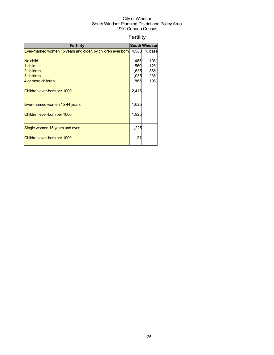## Fertility

| <b>Fertility</b>                                             |       | <b>South Windson</b> |
|--------------------------------------------------------------|-------|----------------------|
| Ever-married women 15 years and older, by children ever born | 4,580 | % base               |
|                                                              |       |                      |
| No child                                                     | 465   | 10%                  |
| 1 child                                                      | 560   | 12%                  |
| 2 children                                                   | 1,635 | 36%                  |
| 3 children                                                   | 1,055 | 23%                  |
| 4 or more children                                           | 885   | 19%                  |
| Children ever-born per 1000                                  | 2,416 |                      |
| Ever-married women 15-44 years                               | 1,625 |                      |
| Children ever-born per 1000                                  | 1,925 |                      |
| Single women 15 years and over                               | 1,225 |                      |
| Children ever-born per 1000                                  | 21    |                      |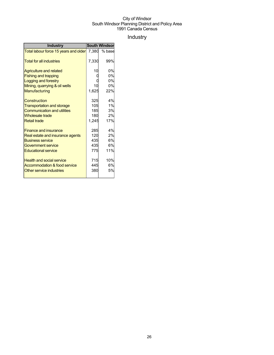## Industry

| <b>Industry</b>                       | <b>South Windsor</b> |        |  |
|---------------------------------------|----------------------|--------|--|
| Total labour force 15 years and older | 7,380                | % base |  |
| <b>Total for all industries</b>       | 7,330                | 99%    |  |
| Agriculture and related               | 10                   | 0%     |  |
| <b>Fishing and trapping</b>           |                      | 0%     |  |
| Logging and forestry                  |                      | 0%     |  |
| Mining, quarrying & oil wells         | 10                   | 0%     |  |
| Manufacturing                         | 1,625                | 22%    |  |
| Construction                          | 325                  | 4%     |  |
| <b>Transportation and storage</b>     | 105                  | 1%     |  |
| <b>Communication and utilities</b>    | 185                  | 3%     |  |
| <b>Wholesale trade</b>                | 180                  | 2%     |  |
| <b>Retail trade</b>                   | 1,245                | 17%    |  |
| <b>Finance and insurance</b>          | 285                  | 4%     |  |
| Real estate and insurance agents      | 120                  | 2%     |  |
| <b>Business service</b>               | 435                  | 6%     |  |
| Government service                    | 435                  | 6%     |  |
| <b>Educational service</b>            | 775                  | 11%    |  |
| <b>Health and social service</b>      | 715                  | 10%    |  |
| Accommodation & food service          | 445                  | 6%     |  |
| Other service industries              | 380                  | 5%     |  |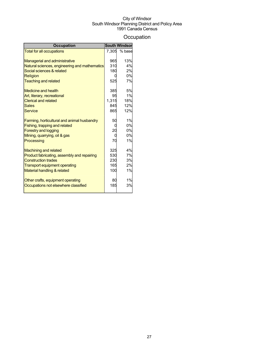## **Occupation**

| <b>Occupation</b>                             |       | <b>South Windsor</b> |
|-----------------------------------------------|-------|----------------------|
| <b>Total for all occupations</b>              | 7.305 | % base               |
|                                               |       |                      |
| <b>Managerial and administrative</b>          | 965   | 13%                  |
| Natural sciences, engineering and mathematics | 310   | 4%                   |
| Social sciences & related                     | 180   | 2%                   |
| Religion                                      |       | 0%                   |
| <b>Teaching and related</b>                   | 525   | 7%                   |
| <b>Medicine and health</b>                    | 385   | 5%                   |
| Art, literary, recreational                   | 95    | 1%                   |
| <b>Clerical and related</b>                   | 1.315 | 18%                  |
| <b>Sales</b>                                  | 845   | 12%                  |
| Service                                       | 865   | 12%                  |
| Farming, horticultural and animal husbandry   | 50    | 1%                   |
| Fishing, trapping and related                 |       | 0%                   |
| <b>Forestry and logging</b>                   | 20    | 0%                   |
| Mining, quarrying, oil & gas                  |       | 0%                   |
| Processing                                    | 70    | 1%                   |
|                                               |       |                      |
| <b>Machining and related</b>                  | 325   | 4%                   |
| Product fabricating, assembly and repairing   | 530   | 7%                   |
| <b>Construction trades</b>                    | 230   | 3%                   |
| <b>Transport equipment operating</b>          | 165   | 2%                   |
| Material handling & related                   | 100   | 1%                   |
| Other crafts, equipment operating             | 80    | 1%                   |
| Occupations not elsewhere classified          | 185   | 3%                   |
|                                               |       |                      |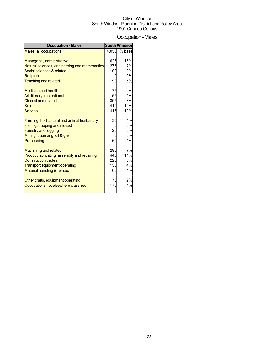## Occupation-Males

| <b>Occupation - Males</b>                     |       | <b>South Windsor</b> |
|-----------------------------------------------|-------|----------------------|
| Males, all occupations                        | 4.050 | % base               |
|                                               |       |                      |
| Managerial, administrative                    | 625   | 15%                  |
| Natural sciences, engineering and mathematics | 275   | 7%                   |
| Social sciences & related                     | 100   | 2%                   |
| Religion                                      |       | 0%                   |
| <b>Teaching and related</b>                   | 190   | 5%                   |
| <b>Medicine and health</b>                    | 75    | 2%                   |
| Art, literary, recreational                   | 55    | 1%                   |
| <b>Clerical and related</b>                   | 305   | 8%                   |
| <b>Sales</b>                                  | 410   | 10%                  |
| <b>Service</b>                                | 415   | 10%                  |
|                                               |       |                      |
| Farming, horticultural and animal husbandry   | 30    | 1%                   |
| Fishing, trapping and related                 |       | 0%                   |
| <b>Forestry and logging</b>                   | 20    | 0%                   |
| Mining, quarrying, oil & gas                  |       | 0%                   |
| Processing                                    | 60    | 1%                   |
|                                               |       |                      |
| <b>Machining and related</b>                  | 295   | 7%                   |
| Product fabricating, assembly and repairing   | 440   | 11%                  |
| <b>Construction trades</b>                    | 220   | 5%                   |
| <b>Transport equipment operating</b>          | 155   | 4%                   |
| Material handling & related                   | 60    | 1%                   |
|                                               |       |                      |
| Other crafts, equipment operating             | 70    | 2%                   |
| Occupations not elsewhere classified          | 175   | 4%                   |
|                                               |       |                      |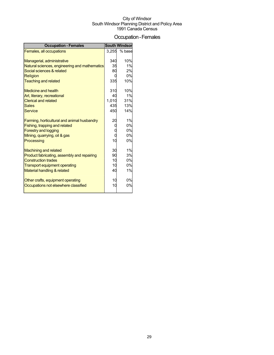## Occupation-Females

| <b>Occupation - Females</b>                   |       | <b>South Windsor</b> |
|-----------------------------------------------|-------|----------------------|
| Females, all occupations                      | 3,255 | % base               |
|                                               |       |                      |
| Managerial, administrative                    | 340   | 10%                  |
| Natural sciences, engineering and mathematics | 35    | 1%                   |
| Social sciences & related                     | 80    | 2%                   |
| <b>Religion</b>                               |       | 0%                   |
| <b>Teaching and related</b>                   | 335   | 10%                  |
| Medicine and health                           | 310   | 10%                  |
| Art, literary, recreational                   | 40    | 1%                   |
| <b>Clerical and related</b>                   | 1,010 | 31%                  |
| <b>Sales</b>                                  | 435   | 13%                  |
| <b>Service</b>                                | 450   | 14%                  |
|                                               |       |                      |
| Farming, horticultural and animal husbandry   | 20    | 1%                   |
| Fishing, trapping and related                 |       | 0%                   |
| <b>Forestry and logging</b>                   |       | 0%                   |
| Mining, quarrying, oil & gas                  |       | 0%                   |
| Processing                                    | 10    | 0%                   |
|                                               |       |                      |
| <b>Machining and related</b>                  | 30    | 1%                   |
| Product fabricating, assembly and repairing   | 90    | 3%                   |
| <b>Construction trades</b>                    | 10    | 0%                   |
| <b>Transport equipment operating</b>          | 10    | 0%                   |
| Material handling & related                   | 40    | 1%                   |
|                                               |       |                      |
| Other crafts, equipment operating             | 10    | 0%                   |
| Occupations not elsewhere classified          | 10    | 0%                   |
|                                               |       |                      |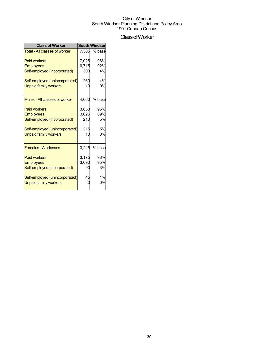## ClassofWorker

| <b>Class of Worker</b>               | <b>South Windsor</b> |        |  |
|--------------------------------------|----------------------|--------|--|
| <b>Total - All classes of worker</b> | 7.305                | % base |  |
| <b>Paid workers</b>                  | 7,025                | 96%    |  |
| <b>Employees</b>                     | 6,715                | 92%    |  |
| Self-employed (incorporated)         | 300                  | 4%     |  |
| Self-employed (unincorporated)       | 260                  | 4%     |  |
| <b>Unpaid family workers</b>         | 10                   | 0%     |  |
| Males - All classes of worker        | 4,060                | % base |  |
| <b>Paid workers</b>                  | 3.850                | 95%    |  |
| <b>Employees</b>                     | 3,625                | 89%    |  |
| Self-employed (incorporated)         | 210                  | 5%     |  |
| Self-employed (unincorporated)       | 215                  | 5%     |  |
| <b>Unpaid family workers</b>         | 10                   | 0%     |  |
| <b>Females - All classes</b>         | 3,245                | % base |  |
| <b>Paid workers</b>                  | 3,175                | 98%    |  |
| <b>Employees</b>                     | 3,090                | 95%    |  |
| Self-employed (incorporated)         | 90                   | 3%     |  |
| Self-employed (unincorporated)       | 45                   | 1%     |  |
| <b>Unpaid family workers</b>         |                      | 0%     |  |
|                                      |                      |        |  |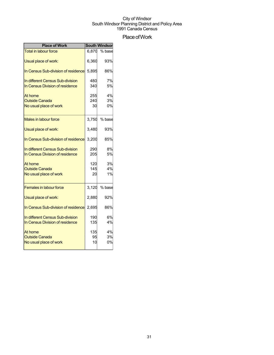## Place of Work

| <b>Place of Work</b>                                                |            | <b>South Windson</b> |
|---------------------------------------------------------------------|------------|----------------------|
| <b>Total in labour force</b>                                        | 6,870      | % base               |
| Usual place of work:                                                | 6,360      | 93%                  |
| In Census Sub-division of residence                                 | 5,895      | 86%                  |
| In different Census Sub-division<br>In Census Division of residence | 480<br>340 | 7%<br>5%             |
| At home                                                             | 255        | 4%                   |
| <b>Outside Canada</b><br>No usual place of work                     | 240<br>30  | 3%<br>0%             |
| Males in labour force                                               | 3,750      | % base               |
| Usual place of work:                                                | 3.480      | 93%                  |
| In Census Sub-division of residence                                 | 3.200      | 85%                  |
| In different Census Sub-division<br>In Census Division of residence | 290<br>205 | 8%<br>5%             |
| At home<br><b>Outside Canada</b>                                    | 120<br>145 | 3%<br>4%             |
| No usual place of work                                              | 20         | 1%                   |
| <b>Females in labour force</b>                                      | 3,120      | % base               |
| Usual place of work:                                                | 2,880      | 92%                  |
| In Census Sub-division of residence                                 | 2,695      | 86%                  |
| In different Census Sub-division<br>In Census Division of residence | 190<br>135 | 6%<br>4%             |
| At home<br><b>Outside Canada</b>                                    | 135<br>95  | 4%<br>3%             |
| No usual place of work                                              | 10         | 0%                   |
|                                                                     |            |                      |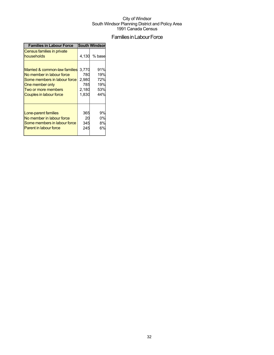## Families in Labour Force

| <b>Families in Labour Force</b>          |       | <b>South Windson</b> |
|------------------------------------------|-------|----------------------|
| Census families in private<br>households |       | 4,130 % base         |
| Married & common-law families            | 3,770 | 91%                  |
| No member in labour force                | 780   | 19%                  |
| Some members in labour force             | 2,980 | 72%                  |
| One member only                          | 785   | 19%                  |
| Two or more members                      | 2,180 | 53%                  |
| Couples in labour force                  | 1,830 | 44%                  |
| Lone-parent families                     | 365   | 9%                   |
| No member in labour force                | 20    | 0%                   |
| Some members in labour force             | 345   | 8%                   |
| <b>Parent in labour force</b>            | 245   | 6%                   |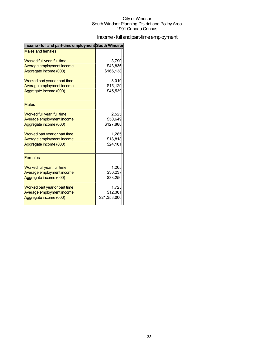## Income - full and part-time employment

| Income - full and part-time employment South Windsor |              |
|------------------------------------------------------|--------------|
| <b>Males and females</b>                             |              |
| Worked full year, full time                          | 3.790        |
| Average employment income                            | \$43,836     |
| Aggregate income (000)                               | \$166,138    |
| Worked part year or part time                        | 3.010        |
| Average employment income                            | \$15,129     |
| Aggregate income (000)                               | \$45,539     |
| <b>Males</b>                                         |              |
| Worked full year, full time                          | 2,525        |
| Average employment income                            | \$50,649     |
| Aggregate income (000)                               | \$127,888    |
| Worked part year or part time                        | 1,285        |
| Average employment income                            | \$18,818     |
| Aggregate income (000)                               | \$24,181     |
| <b>Females</b>                                       |              |
| Worked full year, full time                          | 1.265        |
| Average employment income                            | \$30,237     |
| Aggregate income (000)                               | \$38,250     |
| Worked part year or part time                        | 1,725        |
| Average employment income                            | \$12,381     |
| Aggregate income (000)                               | \$21,358,000 |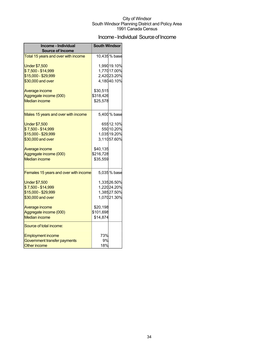## Income - Individual Source of Income

| Income - Individual                   | <b>South Windsor</b> |              |
|---------------------------------------|----------------------|--------------|
| <b>Source of Income</b>               |                      |              |
| Total 15 years and over with income   |                      | 10,435% base |
| <b>Under \$7,500</b>                  |                      | 1,990 19.10% |
| \$7,500 - \$14,999                    |                      | 1,770 17.00% |
| \$15,000 - \$29,999                   |                      | 2,42023.20%  |
| \$30,000 and over                     |                      | 4,18040.10%  |
| Average income                        | \$30,515             |              |
| Aggregate income (000)                | \$318,426            |              |
| <b>Median income</b>                  | \$25,578             |              |
|                                       |                      |              |
| Males 15 years and over with income   |                      | 5,400 % base |
| <b>Under \$7,500</b>                  |                      | 65512.10%    |
| \$7,500 - \$14,999                    |                      | 550 10.20%   |
| \$15,000 - \$29,999                   |                      | 1,03519.20%  |
| \$30,000 and over                     |                      | 3,11057.60%  |
|                                       |                      |              |
| Average income                        | \$40,135             |              |
| Aggregate income (000)                | \$216,728            |              |
| <b>Median income</b>                  | \$35,559             |              |
|                                       |                      |              |
| Females 15 years and over with income |                      | 5,035% base  |
| <b>Under \$7,500</b>                  |                      | 1,33526.50%  |
| \$7,500 - \$14,999                    |                      | 1,22024.20%  |
| \$15,000 - \$29,999                   |                      | 1,38527.50%  |
| \$30,000 and over                     |                      | 1,07021.30%  |
| Average income                        | \$20,198             |              |
| Aggregate income (000)                | \$101,698            |              |
| <b>Median income</b>                  | \$14,874             |              |
| Source of total income:               |                      |              |
| <b>Employment income</b>              | 73%                  |              |
| Government transfer payments          | 9%                   |              |
| <b>Other income</b>                   | 18%                  |              |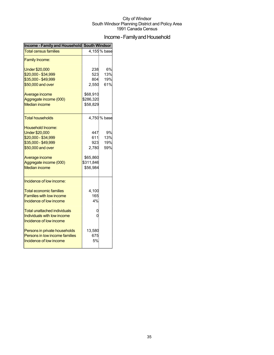## Income - Family and Household

| <b>Total census families</b><br><b>Family Income:</b>                                                                                                                                                                                                                                                            |                                                                 | 4,155% base             |
|------------------------------------------------------------------------------------------------------------------------------------------------------------------------------------------------------------------------------------------------------------------------------------------------------------------|-----------------------------------------------------------------|-------------------------|
|                                                                                                                                                                                                                                                                                                                  |                                                                 |                         |
|                                                                                                                                                                                                                                                                                                                  |                                                                 |                         |
| <b>Under \$20,000</b><br>\$20,000 - \$34,999<br>\$35,000 - \$49,999<br>\$50,000 and over                                                                                                                                                                                                                         | 238<br>523<br>804<br>2,550                                      | 6%<br>13%<br>19%<br>61% |
| Average income<br>Aggregate income (000)<br><b>Median income</b>                                                                                                                                                                                                                                                 | \$68,910<br>\$286,320<br>\$58,829                               |                         |
| Total households                                                                                                                                                                                                                                                                                                 |                                                                 | 4,750 % base            |
| <b>Household Income:</b><br><b>Under \$20,000</b><br>\$20,000 - \$34,999<br>\$35,000 - \$49,999<br>\$50,000 and over<br>Average income<br>Aggregate income (000)<br><b>Median income</b>                                                                                                                         | 447<br>611<br>923<br>2,780<br>\$65,860<br>\$311,846<br>\$56,984 | 9%<br>13%<br>19%<br>59% |
| Incidence of low income:<br><b>Total economic families</b><br><b>Families with low income</b><br>Incidence of low income<br>Total unattached individuals<br>Individuals with low income<br>Incidence of low income<br>Persons in private households<br>Persons in low income families<br>Incidence of low income | 4,100<br>165<br>4%<br>0<br>0<br>13,580<br>675<br>5%             |                         |